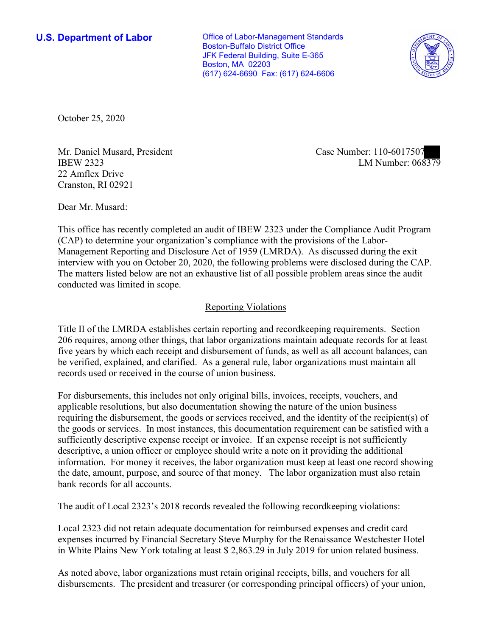**U.S. Department of Labor Conservative Conservative Conservative Conservative Conservative Conservative Conservative Conservative Conservative Conservative Conservative Conservative Conservative Conservative Conservative** Boston-Buffalo District Office JFK Federal Building, Suite E-365 Boston, MA 02203 (617) 624-6690 Fax: (617) 624-6606



October 25, 2020

Mr. Daniel Musard, President Case Number: 110-6017507 22 Amflex Drive Cranston, RI 02921

IBEW 2323 LM Number: 068379

Dear Mr. Musard:

 This office has recently completed an audit of IBEW 2323 under the Compliance Audit Program (CAP) to determine your organization's compliance with the provisions of the Labor- The matters listed below are not an exhaustive list of all possible problem areas since the audit Management Reporting and Disclosure Act of 1959 (LMRDA). As discussed during the exit interview with you on October 20, 2020, the following problems were disclosed during the CAP. conducted was limited in scope.

## Reporting Violations

 Title II of the LMRDA establishes certain reporting and recordkeeping requirements. Section 206 requires, among other things, that labor organizations maintain adequate records for at least five years by which each receipt and disbursement of funds, as well as all account balances, can be verified, explained, and clarified. As a general rule, labor organizations must maintain all records used or received in the course of union business.

For disbursements, this includes not only original bills, invoices, receipts, vouchers, and applicable resolutions, but also documentation showing the nature of the union business requiring the disbursement, the goods or services received, and the identity of the recipient(s) of the goods or services. In most instances, this documentation requirement can be satisfied with a sufficiently descriptive expense receipt or invoice. If an expense receipt is not sufficiently descriptive, a union officer or employee should write a note on it providing the additional information. For money it receives, the labor organization must keep at least one record showing the date, amount, purpose, and source of that money. The labor organization must also retain bank records for all accounts.

The audit of Local 2323's 2018 records revealed the following recordkeeping violations:

 expenses incurred by Financial Secretary Steve Murphy for the Renaissance Westchester Hotel in White Plains New York totaling at least \$ 2,863.29 in July 2019 for union related business. Local 2323 did not retain adequate documentation for reimbursed expenses and credit card

As noted above, labor organizations must retain original receipts, bills, and vouchers for all disbursements. The president and treasurer (or corresponding principal officers) of your union,